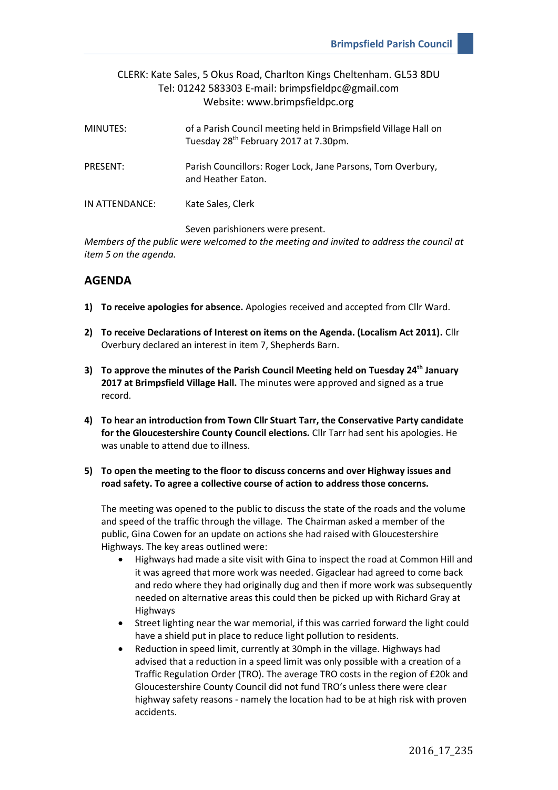# CLERK: Kate Sales, 5 Okus Road, Charlton Kings Cheltenham. GL53 8DU Tel: 01242 583303 E-mail: brimpsfieldpc@gmail.com Website: www.brimpsfieldpc.org

| MINUTES:       | of a Parish Council meeting held in Brimpsfield Village Hall on<br>Tuesday 28 <sup>th</sup> February 2017 at 7.30pm. |
|----------------|----------------------------------------------------------------------------------------------------------------------|
| PRESENT:       | Parish Councillors: Roger Lock, Jane Parsons, Tom Overbury,<br>and Heather Eaton.                                    |
| IN ATTENDANCE: | Kate Sales, Clerk                                                                                                    |
|                | Seven parishioners were present.                                                                                     |

*Members of the public were welcomed to the meeting and invited to address the council at item 5 on the agenda.*

## **AGENDA**

- **1) To receive apologies for absence.** Apologies received and accepted from Cllr Ward.
- **2) To receive Declarations of Interest on items on the Agenda. (Localism Act 2011).** Cllr Overbury declared an interest in item 7, Shepherds Barn.
- **3) To approve the minutes of the Parish Council Meeting held on Tuesday 24th January 2017 at Brimpsfield Village Hall.** The minutes were approved and signed as a true record.
- **4) To hear an introduction from Town Cllr Stuart Tarr, the Conservative Party candidate for the Gloucestershire County Council elections.** Cllr Tarr had sent his apologies. He was unable to attend due to illness.
- **5) To open the meeting to the floor to discuss concerns and over Highway issues and road safety. To agree a collective course of action to address those concerns.**

The meeting was opened to the public to discuss the state of the roads and the volume and speed of the traffic through the village. The Chairman asked a member of the public, Gina Cowen for an update on actions she had raised with Gloucestershire Highways. The key areas outlined were:

- Highways had made a site visit with Gina to inspect the road at Common Hill and it was agreed that more work was needed. Gigaclear had agreed to come back and redo where they had originally dug and then if more work was subsequently needed on alternative areas this could then be picked up with Richard Gray at Highways
- Street lighting near the war memorial, if this was carried forward the light could have a shield put in place to reduce light pollution to residents.
- Reduction in speed limit, currently at 30mph in the village. Highways had advised that a reduction in a speed limit was only possible with a creation of a Traffic Regulation Order (TRO). The average TRO costs in the region of £20k and Gloucestershire County Council did not fund TRO's unless there were clear highway safety reasons - namely the location had to be at high risk with proven accidents.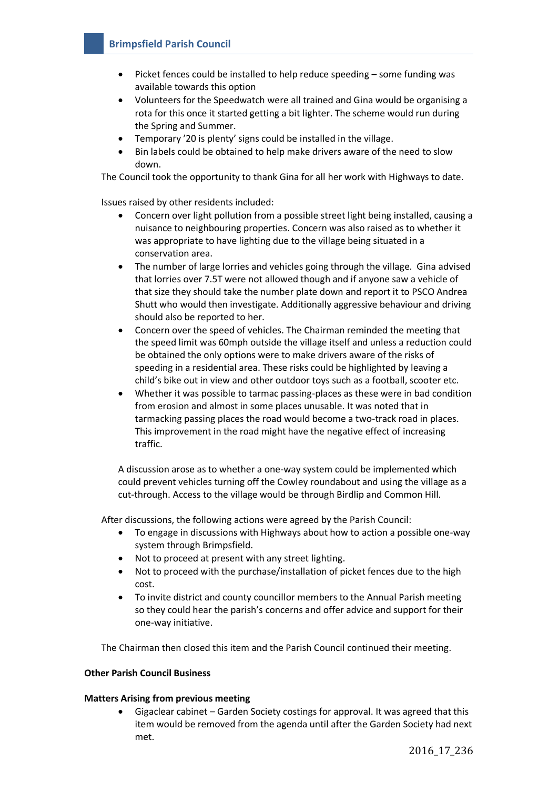- Picket fences could be installed to help reduce speeding some funding was available towards this option
- Volunteers for the Speedwatch were all trained and Gina would be organising a rota for this once it started getting a bit lighter. The scheme would run during the Spring and Summer.
- Temporary '20 is plenty' signs could be installed in the village.
- Bin labels could be obtained to help make drivers aware of the need to slow down.

The Council took the opportunity to thank Gina for all her work with Highways to date.

Issues raised by other residents included:

- Concern over light pollution from a possible street light being installed, causing a nuisance to neighbouring properties. Concern was also raised as to whether it was appropriate to have lighting due to the village being situated in a conservation area.
- The number of large lorries and vehicles going through the village. Gina advised that lorries over 7.5T were not allowed though and if anyone saw a vehicle of that size they should take the number plate down and report it to PSCO Andrea Shutt who would then investigate. Additionally aggressive behaviour and driving should also be reported to her.
- Concern over the speed of vehicles. The Chairman reminded the meeting that the speed limit was 60mph outside the village itself and unless a reduction could be obtained the only options were to make drivers aware of the risks of speeding in a residential area. These risks could be highlighted by leaving a child's bike out in view and other outdoor toys such as a football, scooter etc.
- Whether it was possible to tarmac passing-places as these were in bad condition from erosion and almost in some places unusable. It was noted that in tarmacking passing places the road would become a two-track road in places. This improvement in the road might have the negative effect of increasing traffic.

A discussion arose as to whether a one-way system could be implemented which could prevent vehicles turning off the Cowley roundabout and using the village as a cut-through. Access to the village would be through Birdlip and Common Hill.

After discussions, the following actions were agreed by the Parish Council:

- To engage in discussions with Highways about how to action a possible one-way system through Brimpsfield.
- Not to proceed at present with any street lighting.
- Not to proceed with the purchase/installation of picket fences due to the high cost.
- To invite district and county councillor members to the Annual Parish meeting so they could hear the parish's concerns and offer advice and support for their one-way initiative.

The Chairman then closed this item and the Parish Council continued their meeting.

### **Other Parish Council Business**

### **Matters Arising from previous meeting**

• Gigaclear cabinet – Garden Society costings for approval. It was agreed that this item would be removed from the agenda until after the Garden Society had next met.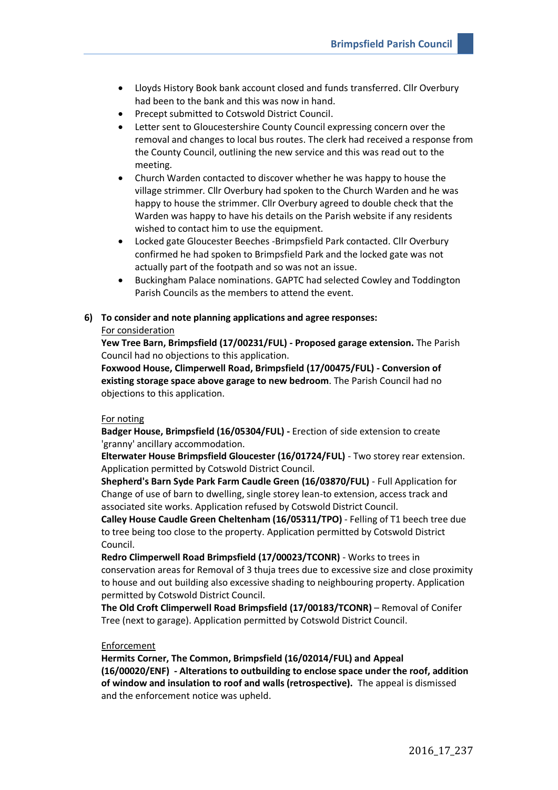- Lloyds History Book bank account closed and funds transferred. Cllr Overbury had been to the bank and this was now in hand.
- Precept submitted to Cotswold District Council.
- Letter sent to Gloucestershire County Council expressing concern over the removal and changes to local bus routes. The clerk had received a response from the County Council, outlining the new service and this was read out to the meeting.
- Church Warden contacted to discover whether he was happy to house the village strimmer. Cllr Overbury had spoken to the Church Warden and he was happy to house the strimmer. Cllr Overbury agreed to double check that the Warden was happy to have his details on the Parish website if any residents wished to contact him to use the equipment.
- Locked gate Gloucester Beeches -Brimpsfield Park contacted. Cllr Overbury confirmed he had spoken to Brimpsfield Park and the locked gate was not actually part of the footpath and so was not an issue.
- Buckingham Palace nominations. GAPTC had selected Cowley and Toddington Parish Councils as the members to attend the event.
- **6) To consider and note planning applications and agree responses:** For consideration

**Yew Tree Barn, Brimpsfield (17/00231/FUL) - Proposed garage extension.** The Parish Council had no objections to this application.

**Foxwood House, Climperwell Road, Brimpsfield (17/00475/FUL) - Conversion of existing storage space above garage to new bedroom**. The Parish Council had no objections to this application.

### For noting

**Badger House, Brimpsfield (16/05304/FUL) -** Erection of side extension to create 'granny' ancillary accommodation.

**Elterwater House Brimpsfield Gloucester (16/01724/FUL)** - Two storey rear extension. Application permitted by Cotswold District Council.

**Shepherd's Barn Syde Park Farm Caudle Green (16/03870/FUL)** - Full Application for Change of use of barn to dwelling, single storey lean-to extension, access track and associated site works. Application refused by Cotswold District Council.

**Calley House Caudle Green Cheltenham (16/05311/TPO)** - Felling of T1 beech tree due to tree being too close to the property. Application permitted by Cotswold District Council.

**Redro Climperwell Road Brimpsfield (17/00023/TCONR)** - Works to trees in conservation areas for Removal of 3 thuja trees due to excessive size and close proximity to house and out building also excessive shading to neighbouring property. Application permitted by Cotswold District Council.

**The Old Croft Climperwell Road Brimpsfield (17/00183/TCONR)** – Removal of Conifer Tree (next to garage). Application permitted by Cotswold District Council.

### Enforcement

**Hermits Corner, The Common, Brimpsfield (16/02014/FUL) and Appeal (16/00020/ENF) - Alterations to outbuilding to enclose space under the roof, addition of window and insulation to roof and walls (retrospective).** The appeal is dismissed and the enforcement notice was upheld.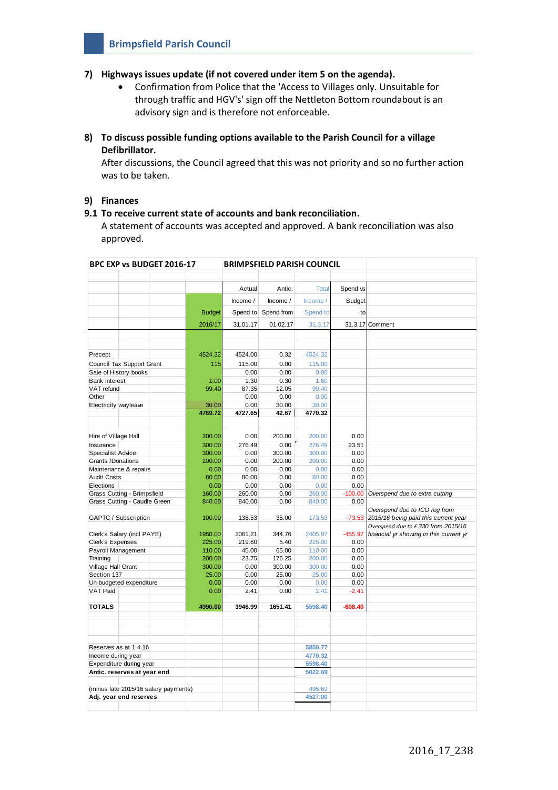### **7) Highways issues update (if not covered under item 5 on the agenda).**

- Confirmation from Police that the 'Access to Villages only. Unsuitable for through traffic and HGV's' sign off the Nettleton Bottom roundabout is an advisory sign and is therefore not enforceable.
- **8) To discuss possible funding options available to the Parish Council for a village Defibrillator.**

After discussions, the Council agreed that this was not priority and so no further action was to be taken.

### **9) Finances**

### **9.1 To receive current state of accounts and bank reconciliation.**

A statement of accounts was accepted and approved. A bank reconciliation was also approved.

| BPC EXP vs BUDGET 2016-17                   |                              |  | <b>BRIMPSFIELD PARISH COUNCIL</b> |              |              |              |                 |                                                                       |
|---------------------------------------------|------------------------------|--|-----------------------------------|--------------|--------------|--------------|-----------------|-----------------------------------------------------------------------|
|                                             |                              |  |                                   |              |              |              |                 |                                                                       |
|                                             |                              |  |                                   | Actual       | Antic.       | <b>Total</b> | Spend vs        |                                                                       |
|                                             |                              |  |                                   | Income /     | Income /     | Income /     | <b>Budget</b>   |                                                                       |
|                                             |                              |  | <b>Budget</b>                     | Spend to     | Spend from   | Spend to     | to              |                                                                       |
|                                             |                              |  | 2016/17                           | 31.01.17     | 01.02.17     | 31.3.17      |                 | 31.3.17 Comment                                                       |
|                                             |                              |  |                                   |              |              |              |                 |                                                                       |
| Precept                                     |                              |  | 4524.32                           | 4524.00      | 0.32         | 4524.32      |                 |                                                                       |
|                                             | Council Tax Support Grant    |  | 115                               | 115.00       | 0.00         | 115.00       |                 |                                                                       |
|                                             | Sale of History books        |  |                                   | 0.00         | 0.00         | 0.00         |                 |                                                                       |
| <b>Bank interest</b>                        |                              |  | 1.00                              | 1.30         | 0.30         | 1.60         |                 |                                                                       |
| VAT refund                                  |                              |  | 99.40                             | 87.35        | 12.05        | 99.40        |                 |                                                                       |
| Other                                       |                              |  |                                   | 0.00         | 0.00         | 0.00         |                 |                                                                       |
| Electricity wayleave                        |                              |  | 30.00                             | 0.00         | 30.00        | 30.00        |                 |                                                                       |
|                                             |                              |  | 4769.72                           | 4727.65      | 42.67        | 4770.32      |                 |                                                                       |
|                                             |                              |  |                                   |              |              |              |                 |                                                                       |
| Hire of Village Hall                        |                              |  | 200.00                            | 0.00         | 200.00       | 200.00       | 0.00            |                                                                       |
| Insurance                                   |                              |  | 300.00                            | 276.49       | 0.00         | 276.49       | 23.51           |                                                                       |
| <b>Specialist Advice</b>                    |                              |  | 300.00                            | 0.00         | 300.00       | 300.00       | 0.00            |                                                                       |
| Grants /Donations                           |                              |  | 200.00                            | 0.00         | 200.00       | 200.00       | 0.00            |                                                                       |
|                                             | Maintenance & repairs        |  | 0.00                              | 0.00         | 0.00         | 0.00         | 0.00            |                                                                       |
| <b>Audit Costs</b>                          |                              |  | 80.00                             | 80.00        | 0.00         | 80.00        | 0.00            |                                                                       |
| Elections                                   |                              |  | 0.00                              | 0.00         | 0.00         | 0.00         | 0.00            |                                                                       |
|                                             | Grass Cutting - Brimpsfield  |  | 160.00                            | 260.00       | 0.00         | 260.00       | $-100.00$       | Overspend due to extra cutting                                        |
|                                             | Grass Cutting - Caudle Green |  | 840.00                            | 840.00       | 0.00         | 840.00       | 0.00            |                                                                       |
|                                             | GAPTC / Subscription         |  | 100.00                            | 138.53       | 35.00        | 173.53       | $-73.53$        | Overspend due to ICO reg from<br>2015/16 being paid this current year |
|                                             |                              |  |                                   |              |              |              |                 | Overspend due to £330 from 2015/16                                    |
|                                             | Clerk's Salary (incl PAYE)   |  | 1950.00                           | 2061.21      | 344.76       | 2405.97      | $-455.97$       | financial yr showing in this current yr                               |
| Clerk's Expenses                            |                              |  | 225.00                            | 219.60       | 5.40         | 225.00       | 0.00            |                                                                       |
|                                             | Payroll Management           |  | 110.00                            | 45.00        | 65.00        | 110.00       | 0.00            |                                                                       |
| Training                                    |                              |  | 200.00                            | 23.75        | 176.25       | 200.00       | 0.00            |                                                                       |
| Village Hall Grant                          |                              |  | 300.00                            | 0.00         | 300.00       | 300.00       | 0.00            |                                                                       |
| Section 137                                 |                              |  | 25.00                             | 0.00         | 25.00        | 25.00        | 0.00            |                                                                       |
| VAT Paid                                    | Un-budgeted expenditure      |  | 0.00<br>0.00                      | 0.00<br>2.41 | 0.00<br>0.00 | 0.00<br>2.41 | 0.00<br>$-2.41$ |                                                                       |
|                                             |                              |  |                                   |              |              |              |                 |                                                                       |
| <b>TOTALS</b>                               |                              |  | 4990.00                           | 3946.99      | 1651.41      | 5598.40      | $-608.40$       |                                                                       |
|                                             |                              |  |                                   |              |              |              |                 |                                                                       |
|                                             |                              |  |                                   |              |              |              |                 |                                                                       |
|                                             |                              |  |                                   |              |              | 5850.77      |                 |                                                                       |
| Reserves as at 1.4.16<br>Income during year |                              |  |                                   | 4770.32      |              |              |                 |                                                                       |
| Expenditure during year                     |                              |  |                                   | 5598.40      |              |              |                 |                                                                       |
| Antic. reserves at year end                 |                              |  |                                   | 5022.69      |              |              |                 |                                                                       |
|                                             |                              |  |                                   |              |              |              |                 |                                                                       |
| (minus late 2015/16 salary payments)        |                              |  |                                   |              |              | 495.69       |                 |                                                                       |
| Adj. year end reserves                      |                              |  |                                   |              | 4527.00      |              |                 |                                                                       |
|                                             |                              |  |                                   |              |              |              |                 |                                                                       |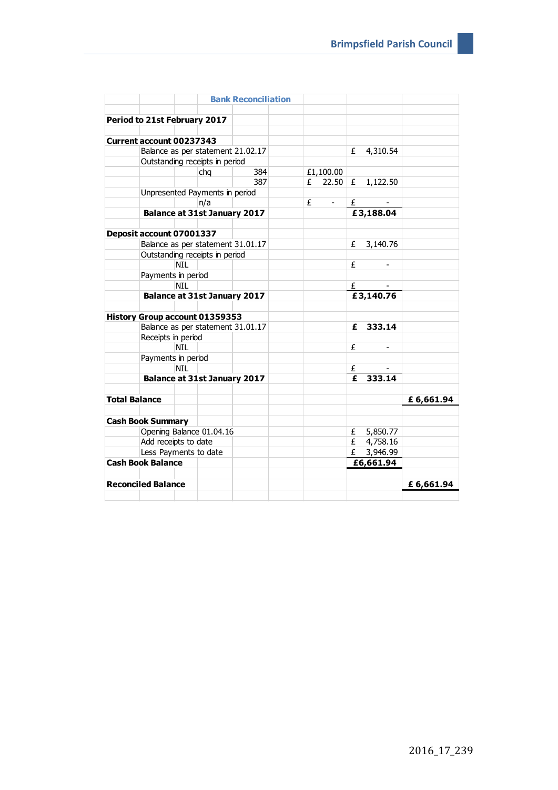|                                                      |                                     |            |                                       | <b>Bank Reconciliation</b>        |  |   |                |           |           |           |
|------------------------------------------------------|-------------------------------------|------------|---------------------------------------|-----------------------------------|--|---|----------------|-----------|-----------|-----------|
|                                                      |                                     |            |                                       |                                   |  |   |                |           |           |           |
| Period to 21st February 2017                         |                                     |            |                                       |                                   |  |   |                |           |           |           |
|                                                      |                                     |            |                                       |                                   |  |   |                |           |           |           |
| Current account 00237343                             |                                     |            |                                       |                                   |  |   |                |           |           |           |
|                                                      | Balance as per statement 21.02.17   |            |                                       |                                   |  |   |                | £         | 4,310.54  |           |
|                                                      | Outstanding receipts in period      |            |                                       |                                   |  |   |                |           |           |           |
|                                                      |                                     |            | cha                                   | 384                               |  |   | £1,100.00      |           |           |           |
|                                                      |                                     |            |                                       | 387                               |  | £ | 22.50          | £         | 1,122.50  |           |
|                                                      | Unpresented Payments in period      |            |                                       |                                   |  |   |                |           |           |           |
|                                                      |                                     |            | n/a                                   |                                   |  | £ | $\blacksquare$ | £         |           |           |
|                                                      |                                     |            | <b>Balance at 31st January 2017</b>   |                                   |  |   |                |           | £3,188.04 |           |
|                                                      | Deposit account 07001337            |            |                                       |                                   |  |   |                |           |           |           |
|                                                      |                                     |            |                                       | Balance as per statement 31.01.17 |  |   |                | £         | 3,140.76  |           |
|                                                      |                                     |            | Outstanding receipts in period        |                                   |  |   |                |           |           |           |
|                                                      |                                     | <b>NIL</b> |                                       |                                   |  |   |                | £         |           |           |
|                                                      | Payments in period                  |            |                                       |                                   |  |   |                |           |           |           |
|                                                      |                                     | <b>NIL</b> |                                       |                                   |  |   |                | £         |           |           |
|                                                      | <b>Balance at 31st January 2017</b> |            |                                       |                                   |  |   |                |           | £3,140.76 |           |
|                                                      |                                     |            |                                       |                                   |  |   |                |           |           |           |
|                                                      |                                     |            | <b>History Group account 01359353</b> |                                   |  |   |                |           |           |           |
|                                                      |                                     |            | Balance as per statement 31.01.17     |                                   |  |   |                | £         | 333.14    |           |
|                                                      | Receipts in period                  |            |                                       |                                   |  |   |                |           |           |           |
|                                                      |                                     | NIL        |                                       |                                   |  |   |                | £         |           |           |
|                                                      | Payments in period                  |            |                                       |                                   |  |   |                |           |           |           |
|                                                      |                                     | <b>NTI</b> |                                       |                                   |  |   |                | £         |           |           |
|                                                      |                                     |            | <b>Balance at 31st January 2017</b>   |                                   |  |   |                | £         | 333.14    |           |
|                                                      |                                     |            |                                       |                                   |  |   |                |           |           |           |
| <b>Total Balance</b>                                 |                                     |            |                                       |                                   |  |   |                |           |           | £6,661.94 |
|                                                      |                                     |            |                                       |                                   |  |   |                |           |           |           |
| <b>Cash Book Summary</b><br>Opening Balance 01.04.16 |                                     |            |                                       |                                   |  |   | £              | 5,850.77  |           |           |
|                                                      | Add receipts to date                |            |                                       |                                   |  |   |                | E         | 4,758.16  |           |
|                                                      | Less Payments to date               |            |                                       |                                   |  |   |                | £         | 3,946.99  |           |
| <b>Cash Book Balance</b>                             |                                     |            |                                       |                                   |  |   |                | £6,661.94 |           |           |
|                                                      |                                     |            |                                       |                                   |  |   |                |           |           |           |
|                                                      | <b>Reconciled Balance</b>           |            |                                       |                                   |  |   |                |           |           | £6,661.94 |
|                                                      |                                     |            |                                       |                                   |  |   |                |           |           |           |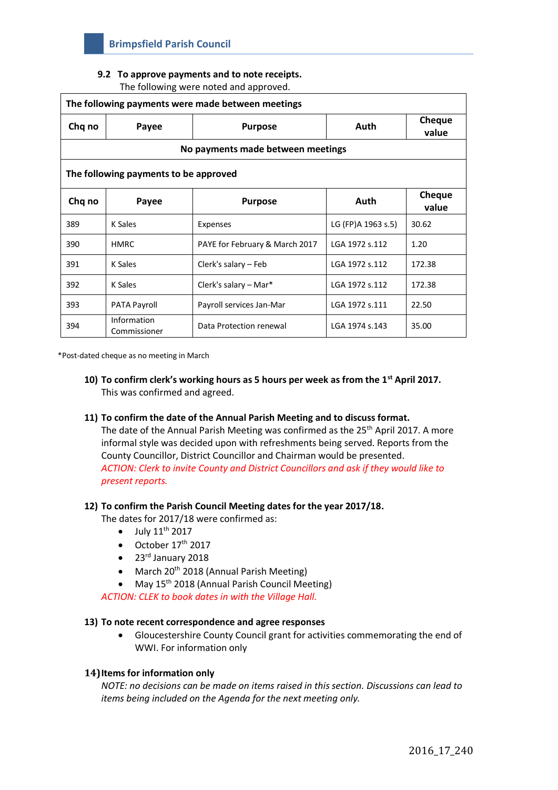### **9.2 To approve payments and to note receipts.**

The following were noted and approved.

| The following payments were made between meetings |                             |                                |                    |                        |  |  |  |  |  |
|---------------------------------------------------|-----------------------------|--------------------------------|--------------------|------------------------|--|--|--|--|--|
| Chq no                                            | Payee                       | <b>Purpose</b>                 | Auth               | <b>Cheque</b><br>value |  |  |  |  |  |
| No payments made between meetings                 |                             |                                |                    |                        |  |  |  |  |  |
| The following payments to be approved             |                             |                                |                    |                        |  |  |  |  |  |
| Chq no                                            | Payee                       | <b>Purpose</b>                 | Auth               | Cheque<br>value        |  |  |  |  |  |
| 389                                               | K Sales                     | Expenses                       | LG (FP)A 1963 s.5) | 30.62                  |  |  |  |  |  |
| 390                                               | <b>HMRC</b>                 | PAYE for February & March 2017 | LGA 1972 s.112     | 1.20                   |  |  |  |  |  |
| 391                                               | K Sales                     | Clerk's salary - Feb           | LGA 1972 s.112     | 172.38                 |  |  |  |  |  |
| 392                                               | K Sales                     | Clerk's salary – Mar $*$       | LGA 1972 s.112     | 172.38                 |  |  |  |  |  |
| 393                                               | <b>PATA Payroll</b>         | Payroll services Jan-Mar       | LGA 1972 s.111     | 22.50                  |  |  |  |  |  |
| 394                                               | Information<br>Commissioner | Data Protection renewal        | LGA 1974 s.143     | 35.00                  |  |  |  |  |  |

\*Post-dated cheque as no meeting in March

**10) To confirm clerk's working hours as 5 hours per week as from the 1st April 2017.** This was confirmed and agreed.

### **11) To confirm the date of the Annual Parish Meeting and to discuss format.**

The date of the Annual Parish Meeting was confirmed as the 25<sup>th</sup> April 2017. A more informal style was decided upon with refreshments being served. Reports from the County Councillor, District Councillor and Chairman would be presented. *ACTION: Clerk to invite County and District Councillors and ask if they would like to present reports.*

### **12) To confirm the Parish Council Meeting dates for the year 2017/18.**

The dates for 2017/18 were confirmed as:

- $\bullet$  July  $11^{\text{th}}$  2017
- $\bullet$  October 17<sup>th</sup> 2017
- 23<sup>rd</sup> January 2018
- March 20<sup>th</sup> 2018 (Annual Parish Meeting)
- May 15<sup>th</sup> 2018 (Annual Parish Council Meeting)

*ACTION: CLEK to book dates in with the Village Hall.*

### **13) To note recent correspondence and agree responses**

• Gloucestershire County Council grant for activities commemorating the end of WWI. For information only

### **14)Items for information only**

*NOTE: no decisions can be made on items raised in this section. Discussions can lead to items being included on the Agenda for the next meeting only.*